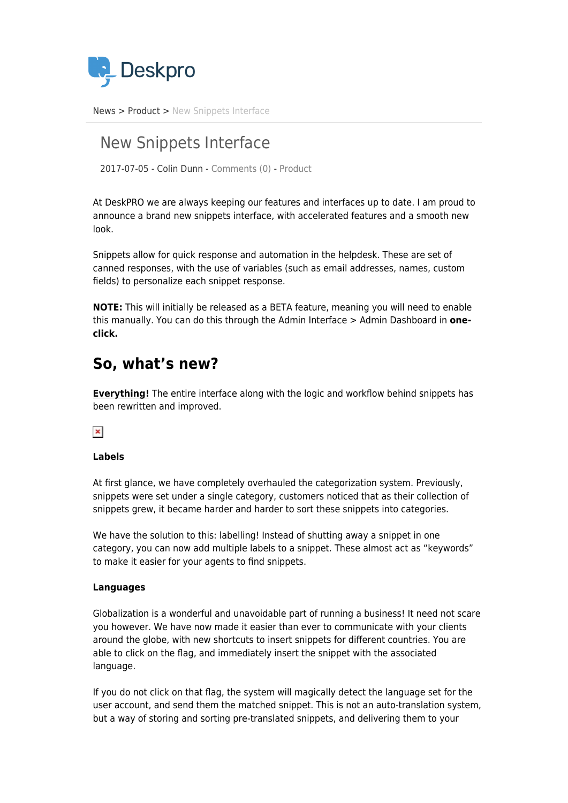

[News](https://support.deskpro.com/ro/news) > [Product](https://support.deskpro.com/ro/news/product) > [New Snippets Interface](https://support.deskpro.com/ro/news/posts/new-snippets-interface)

# New Snippets Interface

2017-07-05 - Colin Dunn - [Comments \(0\)](#page--1-0) - [Product](https://support.deskpro.com/ro/news/product)

At DeskPRO we are always keeping our features and interfaces up to date. I am proud to announce a brand new snippets interface, with accelerated features and a smooth new look.

Snippets allow for quick response and automation in the helpdesk. These are set of canned responses, with the use of variables (such as email addresses, names, custom fields) to personalize each snippet response.

**NOTE:** This will initially be released as a BETA feature, meaning you will need to enable this manually. You can do this through the Admin Interface > Admin Dashboard in **oneclick.**

## **So, what's new?**

**Everything!** The entire interface along with the logic and workflow behind snippets has been rewritten and improved.

### $\pmb{\times}$

#### **Labels**

At first glance, we have completely overhauled the categorization system. Previously, snippets were set under a single category, customers noticed that as their collection of snippets grew, it became harder and harder to sort these snippets into categories.

We have the solution to this: labelling! Instead of shutting away a snippet in one category, you can now add multiple labels to a snippet. These almost act as "keywords" to make it easier for your agents to find snippets.

#### **Languages**

Globalization is a wonderful and unavoidable part of running a business! It need not scare you however. We have now made it easier than ever to communicate with your clients around the globe, with new shortcuts to insert snippets for different countries. You are able to click on the flag, and immediately insert the snippet with the associated language.

If you do not click on that flag, the system will magically detect the language set for the user account, and send them the matched snippet. This is not an auto-translation system, but a way of storing and sorting pre-translated snippets, and delivering them to your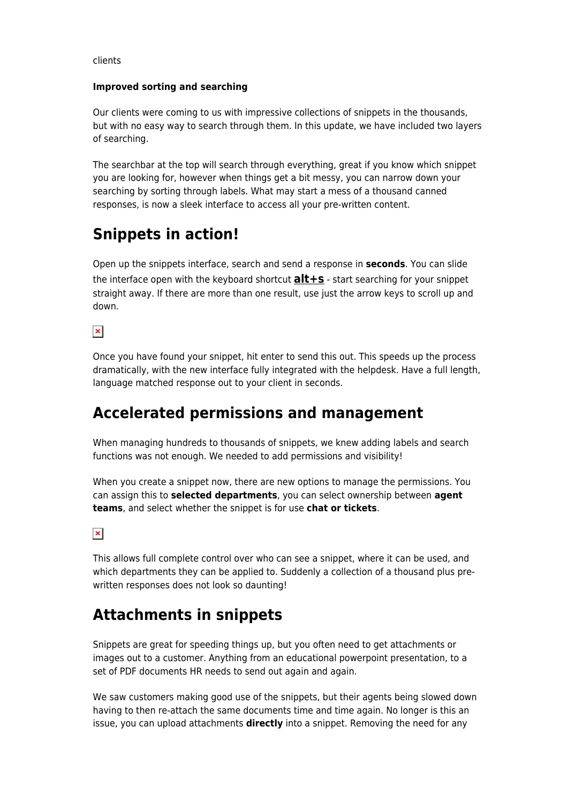clients

#### **Improved sorting and searching**

Our clients were coming to us with impressive collections of snippets in the thousands, but with no easy way to search through them. In this update, we have included two layers of searching.

The searchbar at the top will search through everything, great if you know which snippet you are looking for, however when things get a bit messy, you can narrow down your searching by sorting through labels. What may start a mess of a thousand canned responses, is now a sleek interface to access all your pre-written content.

# **Snippets in action!**

Open up the snippets interface, search and send a response in **seconds**. You can slide the interface open with the keyboard shortcut **alt+s** - start searching for your snippet straight away. If there are more than one result, use just the arrow keys to scroll up and down.

 $\pmb{\times}$ 

Once you have found your snippet, hit enter to send this out. This speeds up the process dramatically, with the new interface fully integrated with the helpdesk. Have a full length, language matched response out to your client in seconds.

## **Accelerated permissions and management**

When managing hundreds to thousands of snippets, we knew adding labels and search functions was not enough. We needed to add permissions and visibility!

When you create a snippet now, there are new options to manage the permissions. You can assign this to **selected departments**, you can select ownership between **agent teams**, and select whether the snippet is for use **chat or tickets**.

 $\pmb{\times}$ 

This allows full complete control over who can see a snippet, where it can be used, and which departments they can be applied to. Suddenly a collection of a thousand plus prewritten responses does not look so daunting!

# **Attachments in snippets**

Snippets are great for speeding things up, but you often need to get attachments or images out to a customer. Anything from an educational powerpoint presentation, to a set of PDF documents HR needs to send out again and again.

We saw customers making good use of the snippets, but their agents being slowed down having to then re-attach the same documents time and time again. No longer is this an issue, you can upload attachments **directly** into a snippet. Removing the need for any